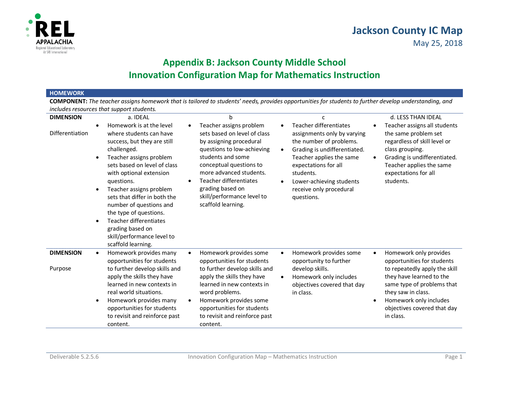

## **Appendix B: Jackson County Middle School Innovation Configuration Map for Mathematics Instruction**

## **HOMEWORK**

 **COMPONENT:** *The teacher assigns homework that is tailored to students' needs, provides opportunities for students to further develop understanding, and includes resources that support students.* 

| <b>DIMENSION</b>            | a. IDEAL                                                                                                                                                                                                                                                                                                                                                                                                                | h                                                                                                                                                                                                                                                                                                    | c                                                                                                                                                                                                                                                                               | d. LESS THAN IDEAL                                                                                                                                                                                                                                       |
|-----------------------------|-------------------------------------------------------------------------------------------------------------------------------------------------------------------------------------------------------------------------------------------------------------------------------------------------------------------------------------------------------------------------------------------------------------------------|------------------------------------------------------------------------------------------------------------------------------------------------------------------------------------------------------------------------------------------------------------------------------------------------------|---------------------------------------------------------------------------------------------------------------------------------------------------------------------------------------------------------------------------------------------------------------------------------|----------------------------------------------------------------------------------------------------------------------------------------------------------------------------------------------------------------------------------------------------------|
| Differentiation             | Homework is at the level<br>where students can have<br>success, but they are still<br>challenged.<br>Teacher assigns problem<br>sets based on level of class<br>with optional extension<br>questions.<br>Teacher assigns problem<br>sets that differ in both the<br>number of questions and<br>the type of questions.<br>Teacher differentiates<br>grading based on<br>skill/performance level to<br>scaffold learning. | Teacher assigns problem<br>sets based on level of class<br>by assigning procedural<br>questions to low-achieving<br>students and some<br>conceptual questions to<br>more advanced students.<br><b>Teacher differentiates</b><br>grading based on<br>skill/performance level to<br>scaffold learning. | <b>Teacher differentiates</b><br>assignments only by varying<br>the number of problems.<br>Grading is undifferentiated.<br>$\bullet$<br>Teacher applies the same<br>expectations for all<br>students.<br>Lower-achieving students<br>٠<br>receive only procedural<br>questions. | Teacher assigns all students<br>the same problem set<br>regardless of skill level or<br>class grouping.<br>Grading is undifferentiated.<br>Teacher applies the same<br>expectations for all<br>students.                                                 |
| <b>DIMENSION</b><br>Purpose | Homework provides many<br>$\bullet$<br>opportunities for students<br>to further develop skills and<br>apply the skills they have<br>learned in new contexts in<br>real world situations.<br>Homework provides many<br>opportunities for students<br>to revisit and reinforce past<br>content.                                                                                                                           | Homework provides some<br>$\bullet$<br>opportunities for students<br>to further develop skills and<br>apply the skills they have<br>learned in new contexts in<br>word problems.<br>Homework provides some<br>opportunities for students<br>to revisit and reinforce past<br>content.                | Homework provides some<br>$\bullet$<br>opportunity to further<br>develop skills.<br>Homework only includes<br>٠<br>objectives covered that day<br>in class.                                                                                                                     | Homework only provides<br>$\bullet$<br>opportunities for students<br>to repeatedly apply the skill<br>they have learned to the<br>same type of problems that<br>they saw in class.<br>Homework only includes<br>objectives covered that day<br>in class. |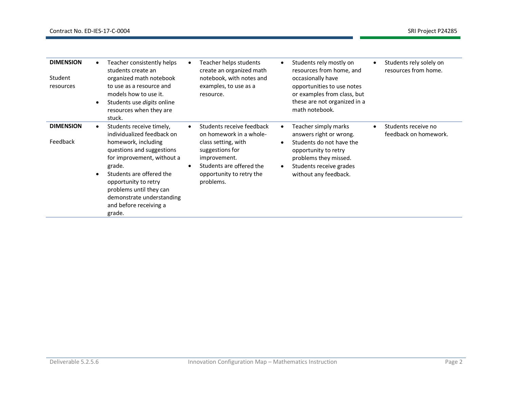| <b>DIMENSION</b><br>Student<br>resources | Teacher consistently helps<br>students create an<br>organized math notebook<br>to use as a resource and<br>models how to use it.<br>Students use <i>digits</i> online<br>resources when they are<br>stuck.                                                                                         | Teacher helps students<br>create an organized math<br>notebook, with notes and<br>examples, to use as a<br>resource.                                                                | $\bullet$           | Students rely mostly on<br>resources from home, and<br>occasionally have<br>opportunities to use notes<br>or examples from class, but<br>these are not organized in a<br>math notebook. | Students rely solely on<br>resources from home. |
|------------------------------------------|----------------------------------------------------------------------------------------------------------------------------------------------------------------------------------------------------------------------------------------------------------------------------------------------------|-------------------------------------------------------------------------------------------------------------------------------------------------------------------------------------|---------------------|-----------------------------------------------------------------------------------------------------------------------------------------------------------------------------------------|-------------------------------------------------|
| <b>DIMENSION</b><br>Feedback             | Students receive timely,<br>individualized feedback on<br>homework, including<br>questions and suggestions<br>for improvement, without a<br>grade.<br>Students are offered the<br>opportunity to retry<br>problems until they can<br>demonstrate understanding<br>and before receiving a<br>grade. | Students receive feedback<br>on homework in a whole-<br>class setting, with<br>suggestions for<br>improvement.<br>Students are offered the<br>opportunity to retry the<br>problems. | $\bullet$<br>٠<br>٠ | Teacher simply marks<br>answers right or wrong.<br>Students do not have the<br>opportunity to retry<br>problems they missed.<br>Students receive grades<br>without any feedback.        | Students receive no<br>feedback on homework.    |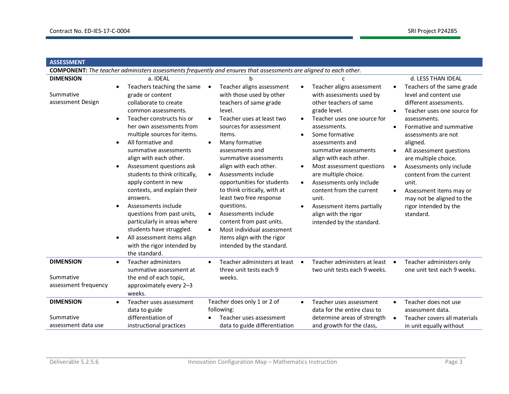| <b>ASSESSMENT</b>                                     |                                                                                                                                                                                                                                                                                                                                                                                                                                                                                                                                                                                                                                                                                    |                                                                                                                                                                                                                                                                                                                                                                                                                                                                                                                                                                                       |                                                                                                                                                                                                                                                                                                                                                                                                                                                                                             |                                                                                                                                                                                                                                                                                                                                                                                                                                                                                         |  |
|-------------------------------------------------------|------------------------------------------------------------------------------------------------------------------------------------------------------------------------------------------------------------------------------------------------------------------------------------------------------------------------------------------------------------------------------------------------------------------------------------------------------------------------------------------------------------------------------------------------------------------------------------------------------------------------------------------------------------------------------------|---------------------------------------------------------------------------------------------------------------------------------------------------------------------------------------------------------------------------------------------------------------------------------------------------------------------------------------------------------------------------------------------------------------------------------------------------------------------------------------------------------------------------------------------------------------------------------------|---------------------------------------------------------------------------------------------------------------------------------------------------------------------------------------------------------------------------------------------------------------------------------------------------------------------------------------------------------------------------------------------------------------------------------------------------------------------------------------------|-----------------------------------------------------------------------------------------------------------------------------------------------------------------------------------------------------------------------------------------------------------------------------------------------------------------------------------------------------------------------------------------------------------------------------------------------------------------------------------------|--|
|                                                       |                                                                                                                                                                                                                                                                                                                                                                                                                                                                                                                                                                                                                                                                                    | COMPONENT: The teacher administers assessments frequently and ensures that assessments are aligned to each other.                                                                                                                                                                                                                                                                                                                                                                                                                                                                     |                                                                                                                                                                                                                                                                                                                                                                                                                                                                                             |                                                                                                                                                                                                                                                                                                                                                                                                                                                                                         |  |
| <b>DIMENSION</b><br>Summative<br>assessment Design    | a. IDEAL<br>Teachers teaching the same $\bullet$<br>grade or content<br>collaborate to create<br>common assessments.<br>Teacher constructs his or<br>$\bullet$<br>her own assessments from<br>multiple sources for items.<br>All formative and<br>$\bullet$<br>summative assessments<br>align with each other.<br>Assessment questions ask<br>$\bullet$<br>students to think critically,<br>apply content in new<br>contexts, and explain their<br>answers.<br>Assessments include<br>$\bullet$<br>questions from past units,<br>particularly in areas where<br>students have struggled.<br>All assessment items align<br>$\bullet$<br>with the rigor intended by<br>the standard. | h<br>Teacher aligns assessment<br>with those used by other<br>teachers of same grade<br>level.<br>Teacher uses at least two<br>sources for assessment<br>items.<br>Many formative<br>$\bullet$<br>assessments and<br>summative assessments<br>align with each other.<br>Assessments include<br>$\bullet$<br>opportunities for students<br>to think critically, with at<br>least two free response<br>questions.<br>Assessments include<br>$\bullet$<br>content from past units.<br>Most individual assessment<br>$\bullet$<br>items align with the rigor<br>intended by the standard. | Teacher aligns assessment<br>$\bullet$<br>with assessments used by<br>other teachers of same<br>grade level.<br>Teacher uses one source for<br>assessments.<br>Some formative<br>٠<br>assessments and<br>summative assessments<br>align with each other.<br>Most assessment questions<br>$\bullet$<br>are multiple choice.<br>Assessments only include<br>$\bullet$<br>content from the current<br>unit.<br>Assessment items partially<br>align with the rigor<br>intended by the standard. | d. LESS THAN IDEAL<br>Teachers of the same grade<br>$\bullet$<br>level and content use<br>different assessments.<br>Teacher uses one source for<br>assessments.<br>Formative and summative<br>$\bullet$<br>assessments are not<br>aligned.<br>All assessment questions<br>are multiple choice.<br>Assessments only include<br>$\bullet$<br>content from the current<br>unit.<br>Assessment items may or<br>$\bullet$<br>may not be aligned to the<br>rigor intended by the<br>standard. |  |
| <b>DIMENSION</b><br>Summative<br>assessment frequency | Teacher administers<br>summative assessment at<br>the end of each topic,<br>approximately every 2-3<br>weeks.                                                                                                                                                                                                                                                                                                                                                                                                                                                                                                                                                                      | Teacher administers at least<br>three unit tests each 9<br>weeks.                                                                                                                                                                                                                                                                                                                                                                                                                                                                                                                     | Teacher administers at least<br>$\bullet$<br>two unit tests each 9 weeks.                                                                                                                                                                                                                                                                                                                                                                                                                   | Teacher administers only<br>$\bullet$<br>one unit test each 9 weeks.                                                                                                                                                                                                                                                                                                                                                                                                                    |  |
| <b>DIMENSION</b><br>Summative<br>assessment data use  | Teacher uses assessment<br>data to guide<br>differentiation of<br>instructional practices                                                                                                                                                                                                                                                                                                                                                                                                                                                                                                                                                                                          | Teacher does only 1 or 2 of<br>following:<br>Teacher uses assessment<br>data to guide differentiation                                                                                                                                                                                                                                                                                                                                                                                                                                                                                 | Teacher uses assessment<br>$\bullet$<br>data for the entire class to<br>determine areas of strength<br>and growth for the class,                                                                                                                                                                                                                                                                                                                                                            | Teacher does not use<br>assessment data.<br>Teacher covers all materials<br>$\bullet$<br>in unit equally without                                                                                                                                                                                                                                                                                                                                                                        |  |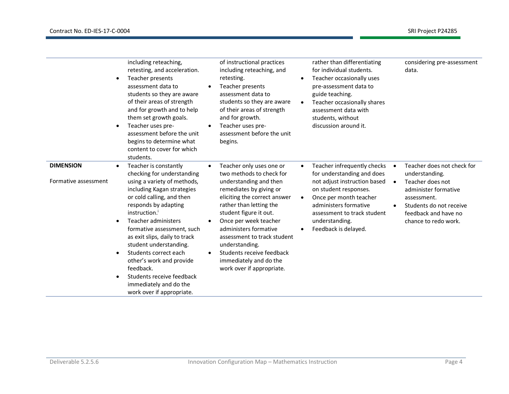|                                          |                | including reteaching,<br>retesting, and acceleration.<br>Teacher presents<br>assessment data to<br>students so they are aware<br>of their areas of strength<br>and for growth and to help<br>them set growth goals.<br>Teacher uses pre-<br>assessment before the unit<br>begins to determine what<br>content to cover for which<br>students.                                                                                                                            |                        | of instructional practices<br>including reteaching, and<br>retesting.<br>Teacher presents<br>assessment data to<br>students so they are aware<br>of their areas of strength<br>and for growth.<br>Teacher uses pre-<br>assessment before the unit<br>begins.                                                                                                                          |           | rather than differentiating<br>for individual students.<br>Teacher occasionally uses<br>pre-assessment data to<br>guide teaching.<br>Teacher occasionally shares<br>assessment data with<br>students, without<br>discussion around it.         |                        | considering pre-assessment<br>data.                                                                                                                                                |
|------------------------------------------|----------------|--------------------------------------------------------------------------------------------------------------------------------------------------------------------------------------------------------------------------------------------------------------------------------------------------------------------------------------------------------------------------------------------------------------------------------------------------------------------------|------------------------|---------------------------------------------------------------------------------------------------------------------------------------------------------------------------------------------------------------------------------------------------------------------------------------------------------------------------------------------------------------------------------------|-----------|------------------------------------------------------------------------------------------------------------------------------------------------------------------------------------------------------------------------------------------------|------------------------|------------------------------------------------------------------------------------------------------------------------------------------------------------------------------------|
| <b>DIMENSION</b><br>Formative assessment | ٠<br>$\bullet$ | Teacher is constantly<br>checking for understanding<br>using a variety of methods,<br>including Kagan strategies<br>or cold calling, and then<br>responds by adapting<br>instruction. <sup>1</sup><br>Teacher administers<br>formative assessment, such<br>as exit slips, daily to track<br>student understanding.<br>Students correct each<br>other's work and provide<br>feedback.<br>Students receive feedback<br>immediately and do the<br>work over if appropriate. | $\bullet$<br>$\bullet$ | Teacher only uses one or<br>two methods to check for<br>understanding and then<br>remediates by giving or<br>eliciting the correct answer<br>rather than letting the<br>student figure it out.<br>Once per week teacher<br>administers formative<br>assessment to track student<br>understanding.<br>Students receive feedback<br>immediately and do the<br>work over if appropriate. | $\bullet$ | Teacher infrequently checks<br>for understanding and does<br>not adjust instruction based<br>on student responses.<br>Once per month teacher<br>administers formative<br>assessment to track student<br>understanding.<br>Feedback is delayed. | $\bullet$<br>$\bullet$ | Teacher does not check for<br>understanding.<br>Teacher does not<br>administer formative<br>assessment.<br>Students do not receive<br>feedback and have no<br>chance to redo work. |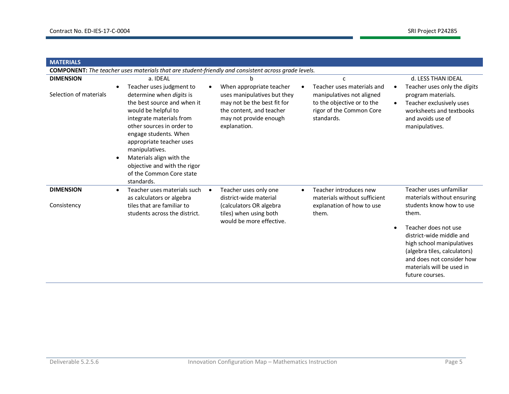| <b>MATERIALS</b>                           |                                                                                                                                                                                                                                                                                                                                                              |                                                                                                                                                              |                                                                                                                                      |                                                                                                                                                                                                                                                                                                       |
|--------------------------------------------|--------------------------------------------------------------------------------------------------------------------------------------------------------------------------------------------------------------------------------------------------------------------------------------------------------------------------------------------------------------|--------------------------------------------------------------------------------------------------------------------------------------------------------------|--------------------------------------------------------------------------------------------------------------------------------------|-------------------------------------------------------------------------------------------------------------------------------------------------------------------------------------------------------------------------------------------------------------------------------------------------------|
|                                            | COMPONENT: The teacher uses materials that are student-friendly and consistent across grade levels.                                                                                                                                                                                                                                                          |                                                                                                                                                              |                                                                                                                                      |                                                                                                                                                                                                                                                                                                       |
| <b>DIMENSION</b><br>Selection of materials | a. IDEAL<br>Teacher uses judgment to<br>determine when digits is<br>the best source and when it<br>would be helpful to<br>integrate materials from<br>other sources in order to<br>engage students. When<br>appropriate teacher uses<br>manipulatives.<br>Materials align with the<br>objective and with the rigor<br>of the Common Core state<br>standards. | When appropriate teacher<br>uses manipulatives but they<br>may not be the best fit for<br>the content, and teacher<br>may not provide enough<br>explanation. | C<br>Teacher uses materials and<br>manipulatives not aligned<br>to the objective or to the<br>rigor of the Common Core<br>standards. | d. LESS THAN IDEAL<br>Teacher uses only the digits<br>$\bullet$<br>program materials.<br>Teacher exclusively uses<br>$\bullet$<br>worksheets and textbooks<br>and avoids use of<br>manipulatives.                                                                                                     |
| <b>DIMENSION</b><br>Consistency            | Teacher uses materials such<br>$\bullet$<br>as calculators or algebra<br>tiles that are familiar to<br>students across the district.                                                                                                                                                                                                                         | Teacher uses only one<br>district-wide material<br>(calculators OR algebra<br>tiles) when using both<br>would be more effective.                             | Teacher introduces new<br>materials without sufficient<br>explanation of how to use<br>them.                                         | Teacher uses unfamiliar<br>materials without ensuring<br>students know how to use<br>them.<br>Teacher does not use<br>$\bullet$<br>district-wide middle and<br>high school manipulatives<br>(algebra tiles, calculators)<br>and does not consider how<br>materials will be used in<br>future courses. |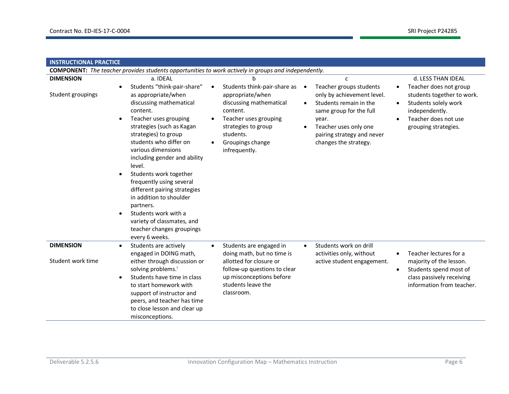| <b>INSTRUCTIONAL PRACTICE</b>         |                                                                                                                                                                                                                                                                                                                                                                                                                                                                                                                                                                      |                                                                                                                                                                                                          |                                                                                                                                                                                                                                  |                                                                                                                                                                                                |  |  |  |
|---------------------------------------|----------------------------------------------------------------------------------------------------------------------------------------------------------------------------------------------------------------------------------------------------------------------------------------------------------------------------------------------------------------------------------------------------------------------------------------------------------------------------------------------------------------------------------------------------------------------|----------------------------------------------------------------------------------------------------------------------------------------------------------------------------------------------------------|----------------------------------------------------------------------------------------------------------------------------------------------------------------------------------------------------------------------------------|------------------------------------------------------------------------------------------------------------------------------------------------------------------------------------------------|--|--|--|
|                                       | <b>COMPONENT:</b> The teacher provides students opportunities to work actively in groups and independently.                                                                                                                                                                                                                                                                                                                                                                                                                                                          |                                                                                                                                                                                                          |                                                                                                                                                                                                                                  |                                                                                                                                                                                                |  |  |  |
| <b>DIMENSION</b><br>Student groupings | a. IDEAL<br>Students "think-pair-share"<br>$\bullet$<br>as appropriate/when<br>discussing mathematical<br>content.<br>Teacher uses grouping<br>$\bullet$<br>strategies (such as Kagan<br>strategies) to group<br>students who differ on<br>various dimensions<br>including gender and ability<br>level.<br>Students work together<br>$\bullet$<br>frequently using several<br>different pairing strategies<br>in addition to shoulder<br>partners.<br>Students work with a<br>$\bullet$<br>variety of classmates, and<br>teacher changes groupings<br>every 6 weeks. | Students think-pair-share as •<br>$\bullet$<br>appropriate/when<br>discussing mathematical<br>content.<br>Teacher uses grouping<br>strategies to group<br>students.<br>Groupings change<br>infrequently. | $\mathsf{C}$<br>Teacher groups students<br>only by achievement level.<br>Students remain in the<br>$\bullet$<br>same group for the full<br>year.<br>Teacher uses only one<br>pairing strategy and never<br>changes the strategy. | d. LESS THAN IDEAL<br>Teacher does not group<br>$\bullet$<br>students together to work.<br>Students solely work<br>$\bullet$<br>independently.<br>Teacher does not use<br>grouping strategies. |  |  |  |
| <b>DIMENSION</b><br>Student work time | Students are actively<br>$\bullet$<br>engaged in DOING math,<br>either through discussion or<br>solving problems. <sup>i</sup><br>Students have time in class<br>$\bullet$<br>to start homework with<br>support of instructor and<br>peers, and teacher has time<br>to close lesson and clear up<br>misconceptions.                                                                                                                                                                                                                                                  | Students are engaged in<br>$\bullet$<br>doing math, but no time is<br>allotted for closure or<br>follow-up questions to clear<br>up misconceptions before<br>students leave the<br>classroom.            | Students work on drill<br>$\bullet$<br>activities only, without<br>active student engagement.                                                                                                                                    | Teacher lectures for a<br>$\bullet$<br>majority of the lesson.<br>Students spend most of<br>$\bullet$<br>class passively receiving<br>information from teacher.                                |  |  |  |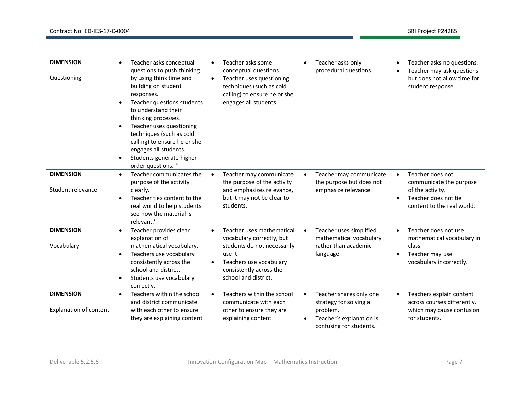| <b>DIMENSION</b><br>Questioning                   | Teacher asks conceptual<br>$\bullet$<br>questions to push thinking<br>by using think time and<br>building on student<br>responses.<br>Teacher questions students<br>$\bullet$<br>to understand their<br>thinking processes.<br>Teacher uses questioning<br>$\bullet$<br>techniques (such as cold<br>calling) to ensure he or she<br>engages all students.<br>Students generate higher-<br>$\bullet$<br>order questions. <sup>iii</sup> | Teacher asks some<br>$\bullet$<br>conceptual questions.<br>Teacher uses questioning<br>$\bullet$<br>techniques (such as cold<br>calling) to ensure he or she<br>engages all students.       | Teacher asks only<br>$\bullet$<br>procedural questions.                                                                           | Teacher asks no questions.<br>Teacher may ask questions<br>but does not allow time for<br>student response.                        |
|---------------------------------------------------|----------------------------------------------------------------------------------------------------------------------------------------------------------------------------------------------------------------------------------------------------------------------------------------------------------------------------------------------------------------------------------------------------------------------------------------|---------------------------------------------------------------------------------------------------------------------------------------------------------------------------------------------|-----------------------------------------------------------------------------------------------------------------------------------|------------------------------------------------------------------------------------------------------------------------------------|
| <b>DIMENSION</b><br>Student relevance             | Teacher communicates the<br>$\bullet$<br>purpose of the activity<br>clearly.<br>Teacher ties content to the<br>$\bullet$<br>real world to help students<br>see how the material is<br>relevant. <sup>i</sup>                                                                                                                                                                                                                           | Teacher may communicate<br>$\bullet$<br>the purpose of the activity<br>and emphasizes relevance,<br>but it may not be clear to<br>students.                                                 | Teacher may communicate<br>٠<br>the purpose but does not<br>emphasize relevance.                                                  | Teacher does not<br>$\bullet$<br>communicate the purpose<br>of the activity.<br>Teacher does not tie<br>content to the real world. |
| <b>DIMENSION</b><br>Vocabulary                    | Teacher provides clear<br>$\bullet$<br>explanation of<br>mathematical vocabulary.<br>Teachers use vocabulary<br>$\bullet$<br>consistently across the<br>school and district.<br>Students use vocabulary<br>$\bullet$<br>correctly.                                                                                                                                                                                                     | Teacher uses mathematical<br>$\bullet$<br>vocabulary correctly, but<br>students do not necessarily<br>use it.<br>Teachers use vocabulary<br>consistently across the<br>school and district. | Teacher uses simplified<br>$\bullet$<br>mathematical vocabulary<br>rather than academic<br>language.                              | Teacher does not use<br>$\bullet$<br>mathematical vocabulary in<br>class.<br>Teacher may use<br>vocabulary incorrectly.            |
| <b>DIMENSION</b><br><b>Explanation of content</b> | Teachers within the school<br>$\bullet$<br>and district communicate<br>with each other to ensure<br>they are explaining content                                                                                                                                                                                                                                                                                                        | Teachers within the school<br>$\bullet$<br>communicate with each<br>other to ensure they are<br>explaining content                                                                          | Teacher shares only one<br>$\bullet$<br>strategy for solving a<br>problem.<br>Teacher's explanation is<br>confusing for students. | Teachers explain content<br>$\bullet$<br>across courses differently,<br>which may cause confusion<br>for students.                 |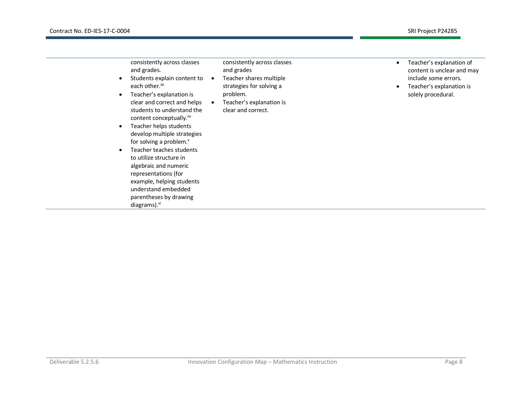| consistently across classes<br>and grades.<br>Students explain content to<br>$\epsilon$<br>each other. <sup>iii</sup><br>Teacher's explanation is<br>$\bullet$<br>clear and correct and helps<br>students to understand the<br>content conceptually. iiv<br>Teacher helps students<br>$\bullet$<br>develop multiple strategies<br>for solving a problem. <sup>v</sup><br>Teacher teaches students<br>to utilize structure in<br>algebraic and numeric<br>representations (for<br>example, helping students<br>understand embedded<br>parentheses by drawing<br>diagrams). <sup>vi</sup> | consistently across classes<br>and grades<br>Teacher shares multiple<br>$\bullet$<br>strategies for solving a<br>problem.<br>Teacher's explanation is<br>$\bullet$<br>clear and correct. | Teacher's explanation of<br>content is unclear and may<br>include some errors.<br>Teacher's explanation is<br>solely procedural. |
|-----------------------------------------------------------------------------------------------------------------------------------------------------------------------------------------------------------------------------------------------------------------------------------------------------------------------------------------------------------------------------------------------------------------------------------------------------------------------------------------------------------------------------------------------------------------------------------------|------------------------------------------------------------------------------------------------------------------------------------------------------------------------------------------|----------------------------------------------------------------------------------------------------------------------------------|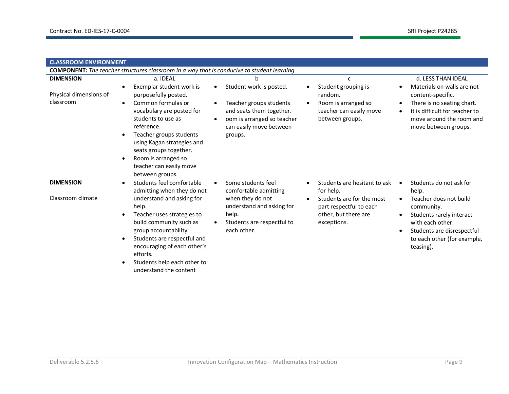| <b>CLASSROOM ENVIRONMENT</b>                            |                                                                                                                                                                                                                                                                                                                                 |                                                                                                                                                                                        |                                                                                                                                          |                                                                                                                                                                                                                     |  |
|---------------------------------------------------------|---------------------------------------------------------------------------------------------------------------------------------------------------------------------------------------------------------------------------------------------------------------------------------------------------------------------------------|----------------------------------------------------------------------------------------------------------------------------------------------------------------------------------------|------------------------------------------------------------------------------------------------------------------------------------------|---------------------------------------------------------------------------------------------------------------------------------------------------------------------------------------------------------------------|--|
|                                                         | <b>COMPONENT:</b> The teacher structures classroom in a way that is conducive to student learning.                                                                                                                                                                                                                              |                                                                                                                                                                                        |                                                                                                                                          |                                                                                                                                                                                                                     |  |
| <b>DIMENSION</b><br>Physical dimensions of<br>classroom | a. IDEAL<br>Exemplar student work is<br>purposefully posted.<br>Common formulas or<br>$\bullet$<br>vocabulary are posted for<br>students to use as<br>reference.<br>Teacher groups students<br>using Kagan strategies and<br>seats groups together.<br>Room is arranged so<br>teacher can easily move<br>between groups.        | h<br>Student work is posted.<br>٠<br>Teacher groups students<br>$\bullet$<br>and seats them together.<br>oom is arranged so teacher<br>$\bullet$<br>can easily move between<br>groups. | C<br>Student grouping is<br>random.<br>Room is arranged so<br>teacher can easily move<br>between groups.                                 | d. LESS THAN IDEAL<br>Materials on walls are not<br>content-specific.<br>There is no seating chart.<br>$\bullet$<br>It is difficult for teacher to<br>$\bullet$<br>move around the room and<br>move between groups. |  |
| <b>DIMENSION</b><br>Classroom climate                   | Students feel comfortable<br>$\bullet$<br>admitting when they do not<br>understand and asking for<br>help.<br>Teacher uses strategies to<br>build community such as<br>group accountability.<br>Students are respectful and<br>encouraging of each other's<br>efforts.<br>Students help each other to<br>understand the content | Some students feel<br>$\bullet$<br>comfortable admitting<br>when they do not<br>understand and asking for<br>help.<br>Students are respectful to<br>each other.                        | Students are hesitant to ask<br>for help.<br>Students are for the most<br>part respectful to each<br>other, but there are<br>exceptions. | Students do not ask for<br>help.<br>Teacher does not build<br>community.<br>Students rarely interact<br>with each other.<br>Students are disrespectful<br>to each other (for example,<br>teasing).                  |  |